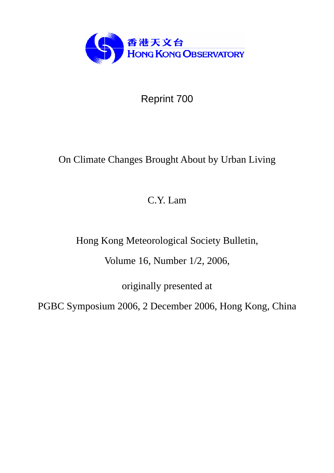

Reprint 700

# On Climate Changes Brought About by Urban Living

C.Y. Lam

Hong Kong Meteorological Society Bulletin,

Volume 16, Number 1/2, 2006,

originally presented at

PGBC Symposium 2006, 2 December 2006, Hong Kong, China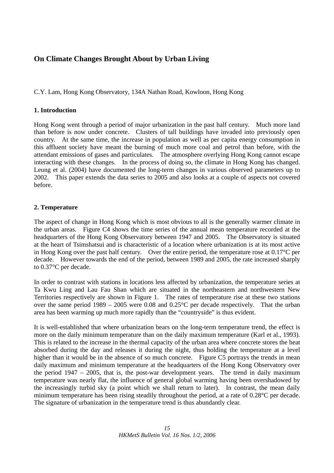## **On Climate Changes Brought About by Urban Living**

C.Y. Lam, Hong Kong Observatory, 134A Nathan Road, Kowloon, Hong Kong

### **1. Introduction**

Hong Kong went through a period of major urbanization in the past half century. Much more land than before is now under concrete. Clusters of tall buildings have invaded into previously open country. At the same time, the increase in population as well as per capita energy consumption in this affluent society have meant the burning of much more coal and petrol than before, with the attendant emissions of gases and particulates. The atmosphere overlying Hong Kong cannot escape interacting with these changes. In the process of doing so, the climate in Hong Kong has changed. Leung et al. (2004) have documented the long-term changes in various observed parameters up to 2002. This paper extends the data series to 2005 and also looks at a couple of aspects not covered before.

### **2. Temperature**

The aspect of change in Hong Kong which is most obvious to all is the generally warmer climate in the urban areas. Figure C4 shows the time series of the annual mean temperature recorded at the headquarters of the Hong Kong Observatory between 1947 and 2005. The Observatory is situated at the heart of Tsimshatsui and is characteristic of a location where urbanization is at its most active in Hong Kong over the past half century. Over the entire period, the temperature rose at 0.17°C per decade. However towards the end of the period, between 1989 and 2005, the rate increased sharply to 0.37°C per decade.

In order to contrast with stations in locations less affected by urbanization, the temperature series at Ta Kwu Ling and Lau Fau Shan which are situated in the northeastern and northwestern New Territories respectively are shown in Figure 1. The rates of temperature rise at these two stations over the same period 1989 – 2005 were 0.08 and 0.25°C per decade respectively. That the urban area has been warming up much more rapidly than the "countryside" is thus evident.

It is well-established that where urbanization bears on the long-term temperature trend, the effect is more on the daily minimum temperature than on the daily maximum temperature (Karl et al., 1993). This is related to the increase in the thermal capacity of the urban area where concrete stores the heat absorbed during the day and releases it during the night, thus holding the temperature at a level higher than it would be in the absence of so much concrete. Figure C5 portrays the trends in mean daily maximum and minimum temperature at the headquarters of the Hong Kong Observatory over the period 1947 – 2005, that is, the post-war development years. The trend in daily maximum temperature was nearly flat, the influence of general global warming having been overshadowed by the increasingly turbid sky (a point which we shall return to later). In contrast, the mean daily minimum temperature has been rising steadily throughout the period, at a rate of 0.28°C per decade. The signature of urbanization in the temperature trend is thus abundantly clear.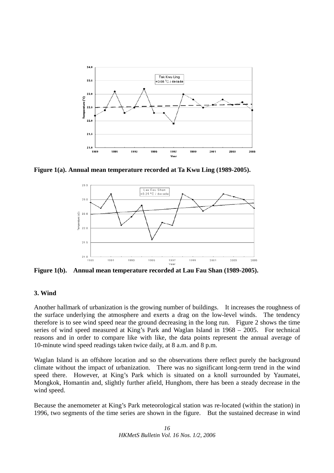

**Figure 1(a). Annual mean temperature recorded at Ta Kwu Ling (1989-2005).** 



**Figure 1(b). Annual mean temperature recorded at Lau Fau Shan (1989-2005).** 

#### **3. Wind**

Another hallmark of urbanization is the growing number of buildings. It increases the roughness of the surface underlying the atmosphere and exerts a drag on the low-level winds. The tendency therefore is to see wind speed near the ground decreasing in the long run. Figure 2 shows the time series of wind speed measured at King's Park and Waglan Island in 1968 – 2005. For technical reasons and in order to compare like with like, the data points represent the annual average of 10-minute wind speed readings taken twice daily, at 8 a.m. and 8 p.m.

Waglan Island is an offshore location and so the observations there reflect purely the background climate without the impact of urbanization. There was no significant long-term trend in the wind speed there. However, at King's Park which is situated on a knoll surrounded by Yaumatei, Mongkok, Homantin and, slightly further afield, Hunghom, there has been a steady decrease in the wind speed.

Because the anemometer at King's Park meteorological station was re-located (within the station) in 1996, two segments of the time series are shown in the figure. But the sustained decrease in wind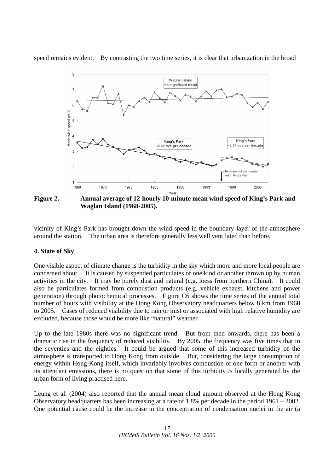speed remains evident. By contrasting the two time series, it is clear that urbanization in the broad



**Figure 2. Annual average of 12-hourly 10-minute mean wind speed of King's Park and Waglan Island (1968-2005).** 

vicinity of King's Park has brought down the wind speed in the boundary layer of the atmosphere around the station. The urban area is therefore generally less well ventilated than before.

#### **4. State of Sky**

One visible aspect of climate change is the turbidity in the sky which more and more local people are concerned about. It is caused by suspended particulates of one kind or another thrown up by human activities in the city. It may be purely dust and natural (e.g. loess from northern China). It could also be particulates formed from combustion products (e.g. vehicle exhaust, kitchens and power generation) through photochemical processes. Figure C6 shows the time series of the annual total number of hours with visibility at the Hong Kong Observatory headquarters below 8 km from 1968 to 2005. Cases of reduced visibility due to rain or mist or associated with high relative humidity are excluded, because those would be more like "natural" weather.

Up to the late 1980s there was no significant trend. But from then onwards, there has been a dramatic rise in the frequency of reduced visibility. By 2005, the frequency was five times that in the seventies and the eighties. It could be argued that some of this increased turbidity of the atmosphere is transported to Hong Kong from outside. But, considering the large consumption of energy within Hong Kong itself, which invariably involves combustion of one form or another with its attendant emissions, there is no question that some of this turbidity *is* locally generated by the urban form of living practised here.

Leung et al. (2004) also reported that the annual mean cloud amount observed at the Hong Kong Observatory headquarters bas been increasing at a rate of 1.8% per decade in the period 1961 – 2002. One potential cause could be the increase in the concentration of condensation nuclei in the air (a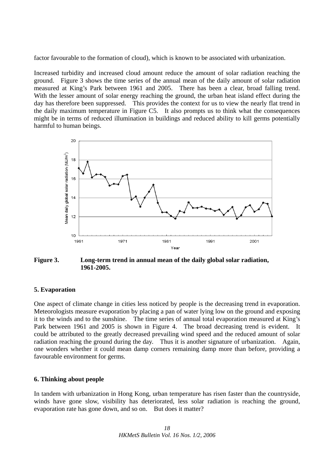factor favourable to the formation of cloud), which is known to be associated with urbanization.

Increased turbidity and increased cloud amount reduce the amount of solar radiation reaching the ground. Figure 3 shows the time series of the annual mean of the daily amount of solar radiation measured at King's Park between 1961 and 2005. There has been a clear, broad falling trend. With the lesser amount of solar energy reaching the ground, the urban heat island effect during the day has therefore been suppressed. This provides the context for us to view the nearly flat trend in the daily maximum temperature in Figure C5. It also prompts us to think what the consequences might be in terms of reduced illumination in buildings and reduced ability to kill germs potentially harmful to human beings.



**Figure 3. Long-term trend in annual mean of the daily global solar radiation, 1961-2005.** 

#### **5. Evaporation**

One aspect of climate change in cities less noticed by people is the decreasing trend in evaporation. Meteorologists measure evaporation by placing a pan of water lying low on the ground and exposing it to the winds and to the sunshine. The time series of annual total evaporation measured at King's Park between 1961 and 2005 is shown in Figure 4. The broad decreasing trend is evident. It could be attributed to the greatly decreased prevailing wind speed and the reduced amount of solar radiation reaching the ground during the day. Thus it is another signature of urbanization. Again, one wonders whether it could mean damp corners remaining damp more than before, providing a favourable environment for germs.

#### **6. Thinking about people**

In tandem with urbanization in Hong Kong, urban temperature has risen faster than the countryside, winds have gone slow, visibility has deteriorated, less solar radiation is reaching the ground, evaporation rate has gone down, and so on. But does it matter?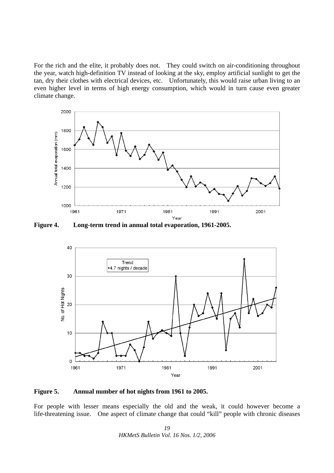For the rich and the elite, it probably does not. They could switch on air-conditioning throughout the year, watch high-definition TV instead of looking at the sky, employ artificial sunlight to get the tan, dry their clothes with electrical devices, etc. Unfortunately, this would raise urban living to an even higher level in terms of high energy consumption, which would in turn cause even greater climate change.



**Figure 4. Long-term trend in annual total evaporation, 1961-2005.** 



#### **Figure 5. Annual number of hot nights from 1961 to 2005.**

For people with lesser means especially the old and the weak, it could however become a life-threatening issue. One aspect of climate change that could "kill" people with chronic diseases

> *19 HKMetS Bulletin Vol. 16 Nos. 1/2, 2006*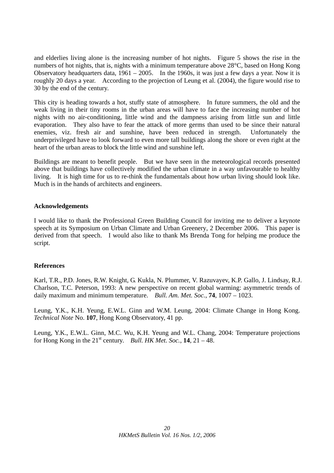and elderlies living alone is the increasing number of hot nights. Figure 5 shows the rise in the numbers of hot nights, that is, nights with a minimum temperature above 28°C, based on Hong Kong Observatory headquarters data,  $1961 - 2005$ . In the 1960s, it was just a few days a year. Now it is roughly 20 days a year. According to the projection of Leung et al. (2004), the figure would rise to 30 by the end of the century.

This city is heading towards a hot, stuffy state of atmosphere. In future summers, the old and the weak living in their tiny rooms in the urban areas will have to face the increasing number of hot nights with no air-conditioning, little wind and the dampness arising from little sun and little evaporation. They also have to fear the attack of more germs than used to be since their natural enemies, viz. fresh air and sunshine, have been reduced in strength. Unfortunately the underprivileged have to look forward to even more tall buildings along the shore or even right at the heart of the urban areas to block the little wind and sunshine left.

Buildings are meant to benefit people. But we have seen in the meteorological records presented above that buildings have collectively modified the urban climate in a way unfavourable to healthy living. It is high time for us to re-think the fundamentals about how urban living should look like. Much is in the hands of architects and engineers.

#### **Acknowledgements**

I would like to thank the Professional Green Building Council for inviting me to deliver a keynote speech at its Symposium on Urban Climate and Urban Greenery, 2 December 2006. This paper is derived from that speech. I would also like to thank Ms Brenda Tong for helping me produce the script.

#### **References**

Karl, T.R., P.D. Jones, R.W. Knight, G. Kukla, N. Plummer, V. Razuvayev, K.P. Gallo, J. Lindsay, R.J. Charlson, T.C. Peterson, 1993: A new perspective on recent global warming: asymmetric trends of daily maximum and minimum temperature. *Bull. Am. Met. Soc.*, **74**, 1007 – 1023.

Leung, Y.K., K.H. Yeung, E.W.L. Ginn and W.M. Leung, 2004: Climate Change in Hong Kong. *Technical Note* No. **107**, Hong Kong Observatory, 41 pp.

Leung, Y.K., E.W.L. Ginn, M.C. Wu, K.H. Yeung and W.L. Chang, 2004: Temperature projections for Hong Kong in the  $21<sup>st</sup>$  century. *Bull. HK Met. Soc.*, **14**, 21 – 48.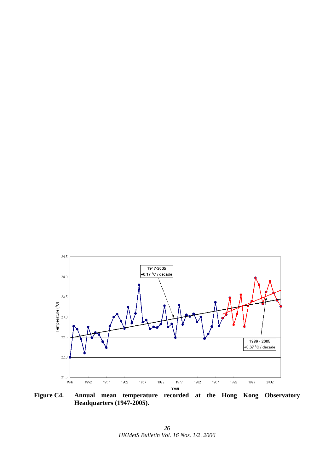

**Figure C4. Annual mean temperature recorded at the Hong Kong Observatory Headquarters (1947-2005).**